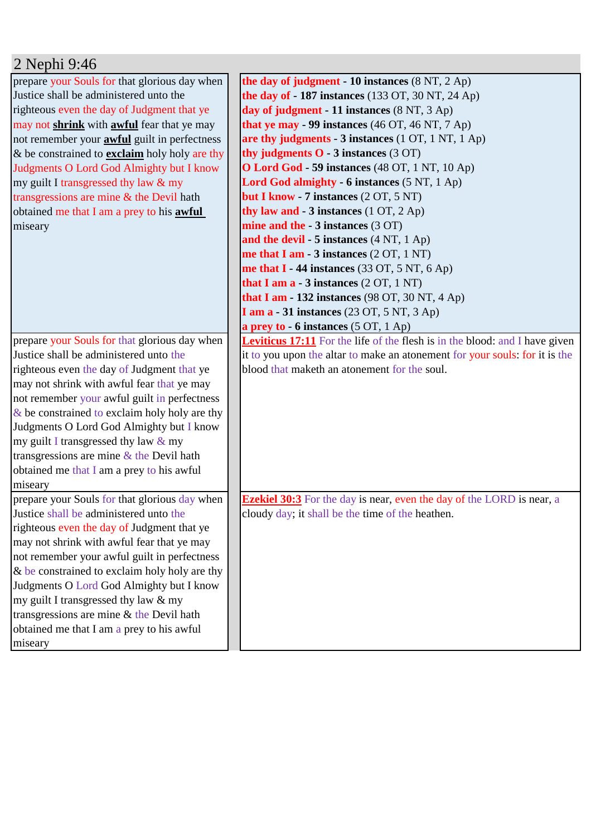| prepare your Souls for that glorious day when        | the day of judgment - 10 instances $(8 \text{ NT}, 2 \text{ Ap})$                  |
|------------------------------------------------------|------------------------------------------------------------------------------------|
| Justice shall be administered unto the               | <b>the day of - 187 instances</b> (133 OT, 30 NT, 24 Ap)                           |
| righteous even the day of Judgment that ye           | day of judgment - 11 instances (8 NT, 3 Ap)                                        |
| may not shrink with awful fear that ye may           | that ye may $-99$ instances (46 OT, 46 NT, 7 Ap)                                   |
| not remember your <b>awful</b> guilt in perfectness  | are thy judgments - 3 instances (1 OT, 1 NT, 1 Ap)                                 |
| & be constrained to <b>exclaim</b> holy holy are thy | thy judgments $O - 3$ instances $(3 OT)$                                           |
| Judgments O Lord God Almighty but I know             | <b>O Lord God - 59 instances (48 OT, 1 NT, 10 Ap)</b>                              |
| my guilt I transgressed thy law & my                 | Lord God almighty - 6 instances (5 NT, 1 Ap)                                       |
| transgressions are mine & the Devil hath             | but I know - 7 instances (2 OT, 5 NT)                                              |
| obtained me that I am a prey to his <b>awful</b>     | thy law and $-3$ instances $(1 OT, 2 Ap)$                                          |
| miseary                                              | mine and the - 3 instances (3 OT)                                                  |
|                                                      | and the devil - 5 instances $(4 NT, 1 Ap)$                                         |
|                                                      | me that I am - $3$ instances $(2 OT, 1 NT)$                                        |
|                                                      | me that $I - 44$ instances (33 OT, 5 NT, 6 Ap)                                     |
|                                                      | that I am $a - 3$ instances $(2 OT, 1 NT)$                                         |
|                                                      | that I am - 132 instances $(98 \text{ OT}, 30 \text{ NT}, 4 \text{ Ap})$           |
|                                                      | <b>I am a - 31 instances</b> (23 OT, 5 NT, 3 Ap)                                   |
|                                                      | a prey to $-6$ instances $(5 OT, 1 Ap)$                                            |
| prepare your Souls for that glorious day when        | <b>Leviticus 17:11</b> For the life of the flesh is in the blood: and I have given |
| Justice shall be administered unto the               | it to you upon the altar to make an atonement for your souls: for it is the        |
| righteous even the day of Judgment that ye           | blood that maketh an atonement for the soul.                                       |
| may not shrink with awful fear that ye may           |                                                                                    |
| not remember your awful guilt in perfectness         |                                                                                    |
| $\&$ be constrained to exclaim holy holy are thy     |                                                                                    |
| Judgments O Lord God Almighty but I know             |                                                                                    |
| my guilt I transgressed thy law $&$ my               |                                                                                    |
| transgressions are mine $&$ the Devil hath           |                                                                                    |
| obtained me that I am a prey to his awful            |                                                                                    |
| miseary                                              |                                                                                    |
| prepare your Souls for that glorious day when        | <b>Ezekiel 30:3</b> For the day is near, even the day of the LORD is near, a       |
| Justice shall be administered unto the               | cloudy day; it shall be the time of the heathen.                                   |
| righteous even the day of Judgment that ye           |                                                                                    |
| may not shrink with awful fear that ye may           |                                                                                    |
| not remember your awful guilt in perfectness         |                                                                                    |
| & be constrained to exclaim holy holy are thy        |                                                                                    |
| Judgments O Lord God Almighty but I know             |                                                                                    |
| my guilt I transgressed thy law & my                 |                                                                                    |
| transgressions are mine $&$ the Devil hath           |                                                                                    |
| obtained me that I am a prey to his awful            |                                                                                    |
| miseary                                              |                                                                                    |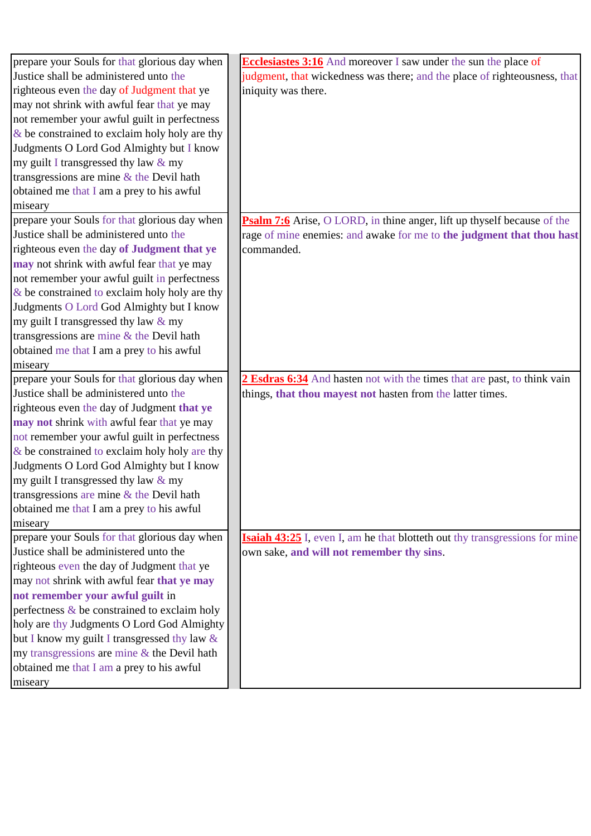| prepare your Souls for that glorious day when    | <b>Ecclesiastes 3:16</b> And moreover I saw under the sun the place of             |
|--------------------------------------------------|------------------------------------------------------------------------------------|
| Justice shall be administered unto the           | judgment, that wickedness was there; and the place of righteousness, that          |
| righteous even the day of Judgment that ye       | iniquity was there.                                                                |
| may not shrink with awful fear that ye may       |                                                                                    |
| not remember your awful guilt in perfectness     |                                                                                    |
| $\&$ be constrained to exclaim holy holy are thy |                                                                                    |
| Judgments O Lord God Almighty but I know         |                                                                                    |
| my guilt I transgressed thy law & my             |                                                                                    |
| transgressions are mine $&$ the Devil hath       |                                                                                    |
| obtained me that I am a prey to his awful        |                                                                                    |
| miseary                                          |                                                                                    |
| prepare your Souls for that glorious day when    | <b>Psalm 7:6</b> Arise, O LORD, in thine anger, lift up thyself because of the     |
| Justice shall be administered unto the           | rage of mine enemies: and awake for me to the judgment that thou hast              |
| righteous even the day of Judgment that ye       | commanded.                                                                         |
| may not shrink with awful fear that ye may       |                                                                                    |
| not remember your awful guilt in perfectness     |                                                                                    |
| $\&$ be constrained to exclaim holy holy are thy |                                                                                    |
| Judgments O Lord God Almighty but I know         |                                                                                    |
| my guilt I transgressed thy law $&$ my           |                                                                                    |
| transgressions are mine & the Devil hath         |                                                                                    |
| obtained me that I am a prey to his awful        |                                                                                    |
| miseary                                          |                                                                                    |
| prepare your Souls for that glorious day when    | 2 Esdras 6:34 And hasten not with the times that are past, to think vain           |
| Justice shall be administered unto the           | things, that thou mayest not hasten from the latter times.                         |
| righteous even the day of Judgment that ye       |                                                                                    |
| may not shrink with awful fear that ye may       |                                                                                    |
| not remember your awful guilt in perfectness     |                                                                                    |
| $\&$ be constrained to exclaim holy holy are thy |                                                                                    |
| Judgments O Lord God Almighty but I know         |                                                                                    |
| my guilt I transgressed thy law & my             |                                                                                    |
| transgressions are mine $\&$ the Devil hath      |                                                                                    |
| obtained me that I am a prey to his awful        |                                                                                    |
| miseary                                          |                                                                                    |
| prepare your Souls for that glorious day when    | <b>Isaiah 43:25</b> I, even I, am he that blotteth out thy transgressions for mine |
| Justice shall be administered unto the           | own sake, and will not remember thy sins.                                          |
| righteous even the day of Judgment that ye       |                                                                                    |
| may not shrink with awful fear that ye may       |                                                                                    |
| not remember your awful guilt in                 |                                                                                    |
| perfectness & be constrained to exclaim holy     |                                                                                    |
| holy are thy Judgments O Lord God Almighty       |                                                                                    |
| but I know my guilt I transgressed thy law &     |                                                                                    |
| my transgressions are mine & the Devil hath      |                                                                                    |
| obtained me that I am a prey to his awful        |                                                                                    |
| miseary                                          |                                                                                    |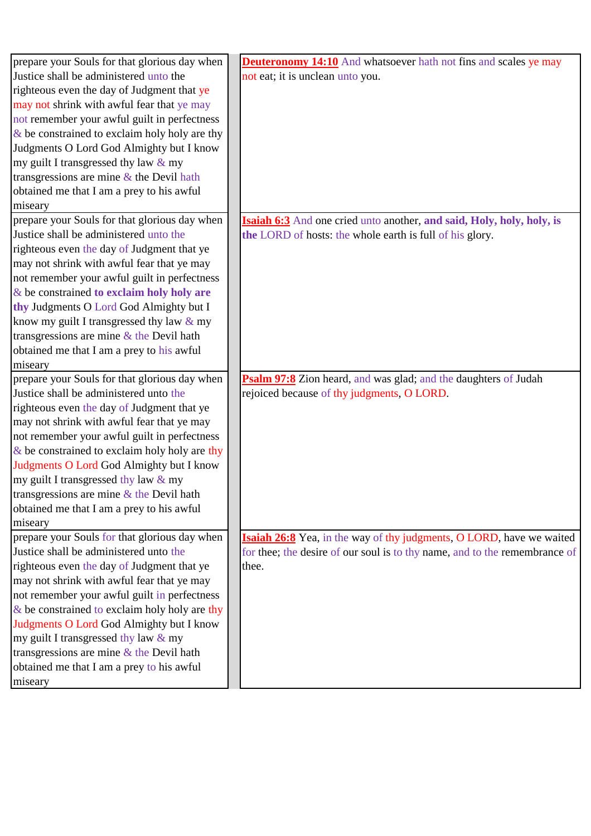| prepare your Souls for that glorious day when    | <b>Deuteronomy 14:10</b> And whatsoever hath not fins and scales ye may      |
|--------------------------------------------------|------------------------------------------------------------------------------|
| Justice shall be administered unto the           | not eat; it is unclean unto you.                                             |
| righteous even the day of Judgment that ye       |                                                                              |
| may not shrink with awful fear that ye may       |                                                                              |
| not remember your awful guilt in perfectness     |                                                                              |
| $\&$ be constrained to exclaim holy holy are thy |                                                                              |
| Judgments O Lord God Almighty but I know         |                                                                              |
| my guilt I transgressed thy law $&$ my           |                                                                              |
| transgressions are mine $\&$ the Devil hath      |                                                                              |
| obtained me that I am a prey to his awful        |                                                                              |
| miseary                                          |                                                                              |
| prepare your Souls for that glorious day when    | <b>Isaiah 6:3</b> And one cried unto another, and said, Holy, holy, holy, is |
| Justice shall be administered unto the           | the LORD of hosts: the whole earth is full of his glory.                     |
| righteous even the day of Judgment that ye       |                                                                              |
| may not shrink with awful fear that ye may       |                                                                              |
| not remember your awful guilt in perfectness     |                                                                              |
| $&$ be constrained to exclaim holy holy are      |                                                                              |
| thy Judgments O Lord God Almighty but I          |                                                                              |
| know my guilt I transgressed thy law $&$ my      |                                                                              |
| transgressions are mine $&$ the Devil hath       |                                                                              |
| obtained me that I am a prey to his awful        |                                                                              |
| miseary                                          |                                                                              |
| prepare your Souls for that glorious day when    | Psalm 97:8 Zion heard, and was glad; and the daughters of Judah              |
| Justice shall be administered unto the           | rejoiced because of thy judgments, O LORD.                                   |
| righteous even the day of Judgment that ye       |                                                                              |
| may not shrink with awful fear that ye may       |                                                                              |
| not remember your awful guilt in perfectness     |                                                                              |
| $\&$ be constrained to exclaim holy holy are thy |                                                                              |
| Judgments O Lord God Almighty but I know         |                                                                              |
| my guilt I transgressed thy law $&$ my           |                                                                              |
| transgressions are mine & the Devil hath         |                                                                              |
| obtained me that I am a prey to his awful        |                                                                              |
| miseary                                          |                                                                              |
| prepare your Souls for that glorious day when    | <b>Isaiah 26:8</b> Yea, in the way of thy judgments, O LORD, have we waited  |
| Justice shall be administered unto the           | for thee; the desire of our soul is to thy name, and to the remembrance of   |
| righteous even the day of Judgment that ye       | thee.                                                                        |
| may not shrink with awful fear that ye may       |                                                                              |
| not remember your awful guilt in perfectness     |                                                                              |
| $&$ be constrained to exclaim holy holy are thy  |                                                                              |
| Judgments O Lord God Almighty but I know         |                                                                              |
| my guilt I transgressed thy law & my             |                                                                              |
| transgressions are mine $&$ the Devil hath       |                                                                              |
| obtained me that I am a prey to his awful        |                                                                              |
| miseary                                          |                                                                              |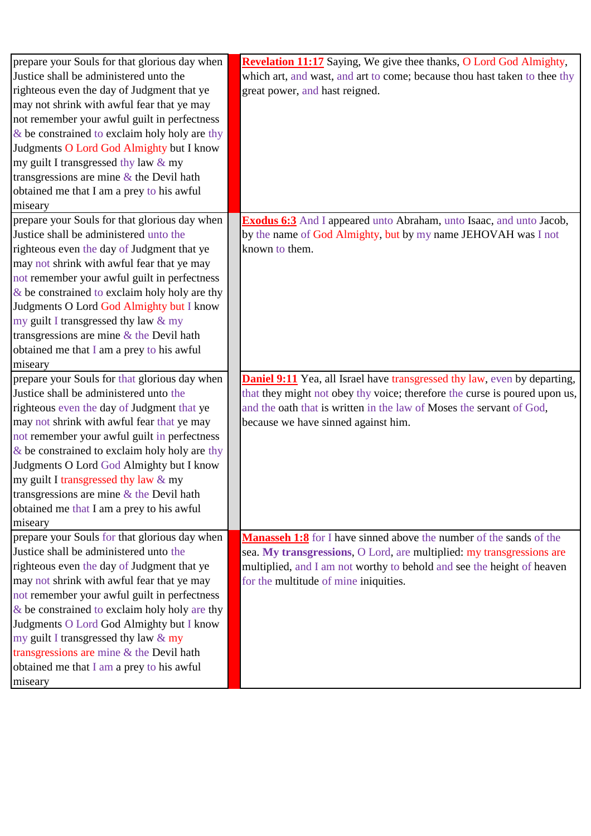| prepare your Souls for that glorious day when    | <b>Revelation 11:17</b> Saying, We give thee thanks, O Lord God Almighty,        |
|--------------------------------------------------|----------------------------------------------------------------------------------|
| Justice shall be administered unto the           | which art, and wast, and art to come; because thou hast taken to thee thy        |
| righteous even the day of Judgment that ye       | great power, and hast reigned.                                                   |
| may not shrink with awful fear that ye may       |                                                                                  |
| not remember your awful guilt in perfectness     |                                                                                  |
| $\&$ be constrained to exclaim holy holy are thy |                                                                                  |
| Judgments O Lord God Almighty but I know         |                                                                                  |
| my guilt I transgressed thy law & my             |                                                                                  |
| transgressions are mine $\&$ the Devil hath      |                                                                                  |
| obtained me that I am a prey to his awful        |                                                                                  |
| miseary                                          |                                                                                  |
| prepare your Souls for that glorious day when    | <b>Exodus 6:3</b> And I appeared unto Abraham, unto Isaac, and unto Jacob,       |
| Justice shall be administered unto the           | by the name of God Almighty, but by my name JEHOVAH was I not                    |
| righteous even the day of Judgment that ye       | known to them.                                                                   |
| may not shrink with awful fear that ye may       |                                                                                  |
| not remember your awful guilt in perfectness     |                                                                                  |
| $\&$ be constrained to exclaim holy holy are thy |                                                                                  |
| Judgments O Lord God Almighty but I know         |                                                                                  |
| my guilt I transgressed thy law & my             |                                                                                  |
| transgressions are mine $&$ the Devil hath       |                                                                                  |
| obtained me that I am a prey to his awful        |                                                                                  |
| miseary                                          |                                                                                  |
| prepare your Souls for that glorious day when    | <b>Daniel 9:11</b> Yea, all Israel have transgressed thy law, even by departing, |
| Justice shall be administered unto the           | that they might not obey thy voice; therefore the curse is poured upon us,       |
| righteous even the day of Judgment that ye       | and the oath that is written in the law of Moses the servant of God,             |
| may not shrink with awful fear that ye may       | because we have sinned against him.                                              |
| not remember your awful guilt in perfectness     |                                                                                  |
| $\&$ be constrained to exclaim holy holy are thy |                                                                                  |
| Judgments O Lord God Almighty but I know         |                                                                                  |
| my guilt I transgressed thy law & my             |                                                                                  |
| transgressions are mine $\&$ the Devil hath      |                                                                                  |
| obtained me that I am a prey to his awful        |                                                                                  |
| miseary                                          |                                                                                  |
| prepare your Souls for that glorious day when    | <b>Manasseh 1:8</b> for I have sinned above the number of the sands of the       |
| Justice shall be administered unto the           | sea. My transgressions, O Lord, are multiplied: my transgressions are            |
| righteous even the day of Judgment that ye       | multiplied, and I am not worthy to behold and see the height of heaven           |
| may not shrink with awful fear that ye may       | for the multitude of mine iniquities.                                            |
| not remember your awful guilt in perfectness     |                                                                                  |
| $\&$ be constrained to exclaim holy holy are thy |                                                                                  |
| Judgments O Lord God Almighty but I know         |                                                                                  |
| my guilt I transgressed thy law & my             |                                                                                  |
| transgressions are mine & the Devil hath         |                                                                                  |
| obtained me that I am a prey to his awful        |                                                                                  |
| miseary                                          |                                                                                  |